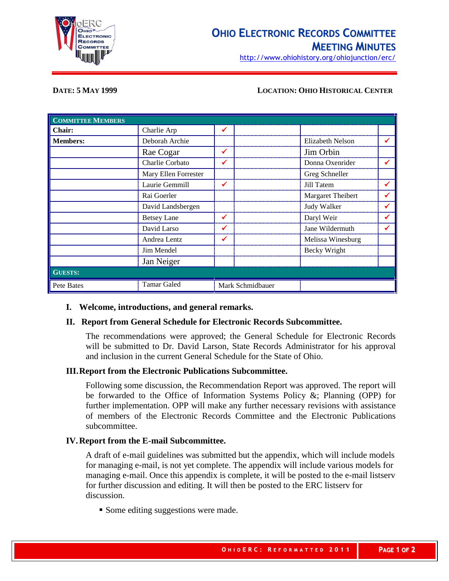

http://www.ohiohistory.org/ohiojunction/erc/

### **DATE: 5 MAY 1999 LOCATION: OHIO HISTORICAL CENTER**

| <b>COMMITTEE MEMBERS</b> |                      |                  |                   |  |
|--------------------------|----------------------|------------------|-------------------|--|
| Chair:                   | Charlie Arp          | ✔                |                   |  |
| <b>Members:</b>          | Deborah Archie       |                  | Elizabeth Nelson  |  |
|                          | Rae Cogar            | ✔                | Jim Orbin         |  |
|                          | Charlie Corbato      | ✔                | Donna Oxenrider   |  |
|                          | Mary Ellen Forrester |                  | Greg Schneller    |  |
|                          | Laurie Gemmill       | ✔                | Jill Tatem        |  |
|                          | Rai Goerler          |                  | Margaret Theibert |  |
|                          | David Landsbergen    |                  | Judy Walker       |  |
|                          | <b>Betsey Lane</b>   | ✔                | Daryl Weir        |  |
|                          | David Larso          | ✔                | Jane Wildermuth   |  |
|                          | Andrea Lentz         | ✔                | Melissa Winesburg |  |
|                          | Jim Mendel           |                  | Becky Wright      |  |
|                          | Jan Neiger           |                  |                   |  |
| <b>GUESTS:</b>           |                      |                  |                   |  |
| Pete Bates               | <b>Tamar Galed</b>   | Mark Schmidbauer |                   |  |

### **I. Welcome, introductions, and general remarks.**

### **II. Report from General Schedule for Electronic Records Subcommittee.**

The recommendations were approved; the General Schedule for Electronic Records will be submitted to Dr. David Larson, State Records Administrator for his approval and inclusion in the current General Schedule for the State of Ohio.

### **III.Report from the Electronic Publications Subcommittee.**

Following some discussion, the Recommendation Report was approved. The report will be forwarded to the Office of Information Systems Policy  $\&$ ; Planning (OPP) for further implementation. OPP will make any further necessary revisions with assistance of members of the Electronic Records Committee and the Electronic Publications subcommittee.

### **IV.Report from the E-mail Subcommittee.**

A draft of e-mail guidelines was submitted but the appendix, which will include models for managing e-mail, is not yet complete. The appendix will include various models for managing e-mail. Once this appendix is complete, it will be posted to the e-mail listserv for further discussion and editing. It will then be posted to the ERC listserv for discussion.

■ Some editing suggestions were made.